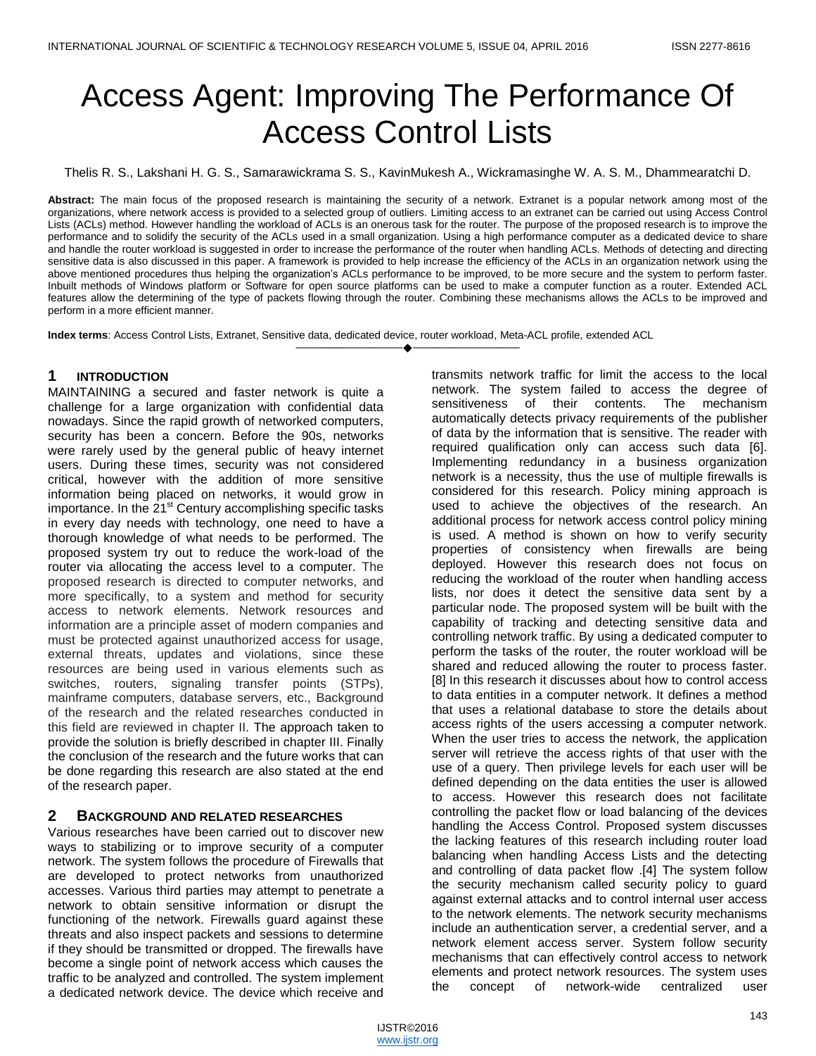# Access Agent: Improving The Performance Of Access Control Lists

Thelis R. S., Lakshani H. G. S., Samarawickrama S. S., KavinMukesh A., Wickramasinghe W. A. S. M., Dhammearatchi D.

**Abstract:** The main focus of the proposed research is maintaining the security of a network. Extranet is a popular network among most of the organizations, where network access is provided to a selected group of outliers. Limiting access to an extranet can be carried out using Access Control Lists (ACLs) method. However handling the workload of ACLs is an onerous task for the router. The purpose of the proposed research is to improve the performance and to solidify the security of the ACLs used in a small organization. Using a high performance computer as a dedicated device to share and handle the router workload is suggested in order to increase the performance of the router when handling ACLs. Methods of detecting and directing sensitive data is also discussed in this paper. A framework is provided to help increase the efficiency of the ACLs in an organization network using the above mentioned procedures thus helping the organization's ACLs performance to be improved, to be more secure and the system to perform faster. Inbuilt methods of Windows platform or Software for open source platforms can be used to make a computer function as a router. Extended ACL features allow the determining of the type of packets flowing through the router. Combining these mechanisms allows the ACLs to be improved and perform in a more efficient manner.

————————————————————

**Index terms**: Access Control Lists, Extranet, Sensitive data, dedicated device, router workload, Meta-ACL profile, extended ACL

#### **1 INTRODUCTION**

MAINTAINING a secured and faster network is quite a challenge for a large organization with confidential data nowadays. Since the rapid growth of networked computers, security has been a concern. Before the 90s, networks were rarely used by the general public of heavy internet users. During these times, security was not considered critical, however with the addition of more sensitive information being placed on networks, it would grow in importance. In the 21<sup>st</sup> Century accomplishing specific tasks in every day needs with technology, one need to have a thorough knowledge of what needs to be performed. The proposed system try out to reduce the work-load of the router via allocating the access level to a computer. The proposed research is directed to computer networks, and more specifically, to a system and method for security access to network elements. Network resources and information are a principle asset of modern companies and must be protected against unauthorized access for usage, external threats, updates and violations, since these resources are being used in various elements such as switches, routers, signaling transfer points (STPs), mainframe computers, database servers, etc., Background of the research and the related researches conducted in this field are reviewed in chapter II. The approach taken to provide the solution is briefly described in chapter III. Finally the conclusion of the research and the future works that can be done regarding this research are also stated at the end of the research paper.

# **2 BACKGROUND AND RELATED RESEARCHES**

Various researches have been carried out to discover new ways to stabilizing or to improve security of a computer network. The system follows the procedure of Firewalls that are developed to protect networks from unauthorized accesses. Various third parties may attempt to penetrate a network to obtain sensitive information or disrupt the functioning of the network. Firewalls guard against these threats and also inspect packets and sessions to determine if they should be transmitted or dropped. The firewalls have become a single point of network access which causes the traffic to be analyzed and controlled. The system implement a dedicated network device. The device which receive and

transmits network traffic for limit the access to the local network. The system failed to access the degree of sensitiveness of their contents. The mechanism automatically detects privacy requirements of the publisher of data by the information that is sensitive. The reader with required qualification only can access such data [6]. Implementing redundancy in a business organization network is a necessity, thus the use of multiple firewalls is considered for this research. Policy mining approach is used to achieve the objectives of the research. An additional process for network access control policy mining is used. A method is shown on how to verify security properties of consistency when firewalls are being deployed. However this research does not focus on reducing the workload of the router when handling access lists, nor does it detect the sensitive data sent by a particular node. The proposed system will be built with the capability of tracking and detecting sensitive data and controlling network traffic. By using a dedicated computer to perform the tasks of the router, the router workload will be shared and reduced allowing the router to process faster. [8] In this research it discusses about how to control access to data entities in a computer network. It defines a method that uses a relational database to store the details about access rights of the users accessing a computer network. When the user tries to access the network, the application server will retrieve the access rights of that user with the use of a query. Then privilege levels for each user will be defined depending on the data entities the user is allowed to access. However this research does not facilitate controlling the packet flow or load balancing of the devices handling the Access Control. Proposed system discusses the lacking features of this research including router load balancing when handling Access Lists and the detecting and controlling of data packet flow .[4] The system follow the security mechanism called security policy to guard against external attacks and to control internal user access to the network elements. The network security mechanisms include an authentication server, a credential server, and a network element access server. System follow security mechanisms that can effectively control access to network elements and protect network resources. The system uses the concept of network-wide centralized user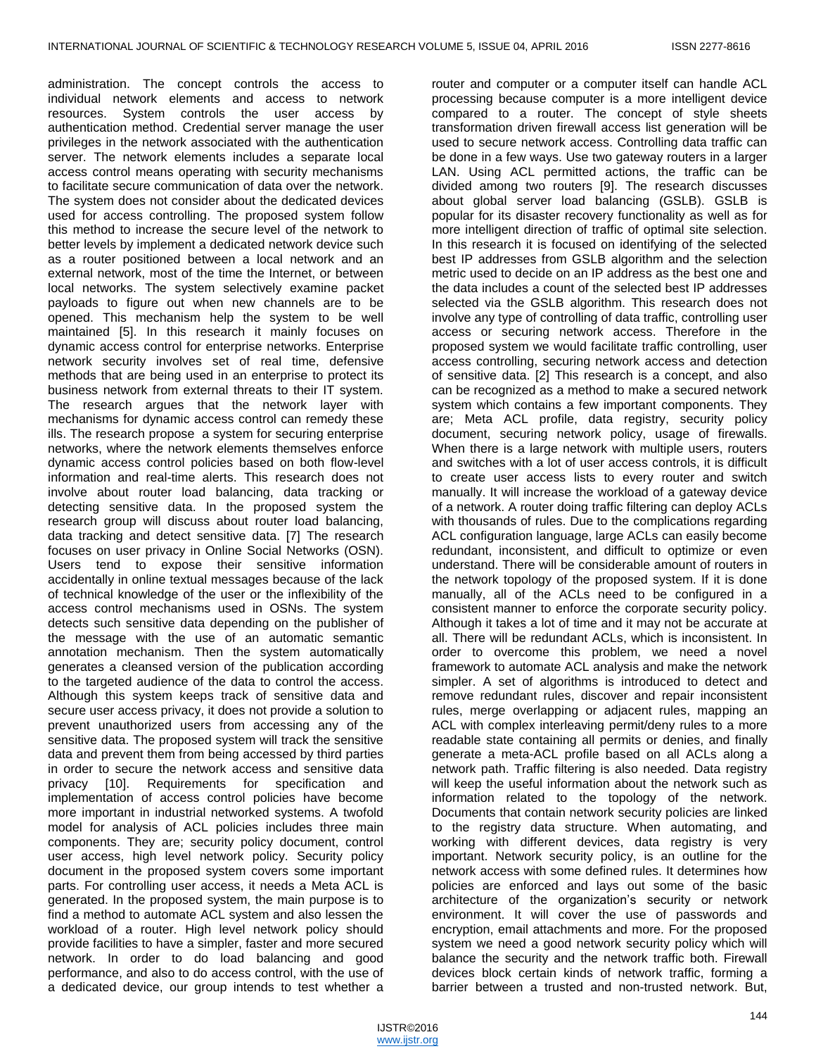administration. The concept controls the access to individual network elements and access to network resources. System controls the user access by authentication method. Credential server manage the user privileges in the network associated with the authentication server. The network elements includes a separate local access control means operating with security mechanisms to facilitate secure communication of data over the network. The system does not consider about the dedicated devices used for access controlling. The proposed system follow this method to increase the secure level of the network to better levels by implement a dedicated network device such as a router positioned between a local network and an external network, most of the time the Internet, or between local networks. The system selectively examine packet payloads to figure out when new channels are to be opened. This mechanism help the system to be well maintained [5]. In this research it mainly focuses on dynamic access control for enterprise networks. Enterprise network security involves set of real time, defensive methods that are being used in an enterprise to protect its business network from external threats to their IT system. The research argues that the network layer with mechanisms for dynamic access control can remedy these ills. The research propose a system for securing enterprise networks, where the network elements themselves enforce dynamic access control policies based on both flow-level information and real-time alerts. This research does not involve about router load balancing, data tracking or detecting sensitive data. In the proposed system the research group will discuss about router load balancing, data tracking and detect sensitive data. [7] The research focuses on user privacy in Online Social Networks (OSN). Users tend to expose their sensitive information accidentally in online textual messages because of the lack of technical knowledge of the user or the inflexibility of the access control mechanisms used in OSNs. The system detects such sensitive data depending on the publisher of the message with the use of an automatic semantic annotation mechanism. Then the system automatically generates a cleansed version of the publication according to the targeted audience of the data to control the access. Although this system keeps track of sensitive data and secure user access privacy, it does not provide a solution to prevent unauthorized users from accessing any of the sensitive data. The proposed system will track the sensitive data and prevent them from being accessed by third parties in order to secure the network access and sensitive data privacy [10]. Requirements for specification and implementation of access control policies have become more important in industrial networked systems. A twofold model for analysis of ACL policies includes three main components. They are; security policy document, control user access, high level network policy. Security policy document in the proposed system covers some important parts. For controlling user access, it needs a Meta ACL is generated. In the proposed system, the main purpose is to find a method to automate ACL system and also lessen the workload of a router. High level network policy should provide facilities to have a simpler, faster and more secured network. In order to do load balancing and good performance, and also to do access control, with the use of a dedicated device, our group intends to test whether a

router and computer or a computer itself can handle ACL processing because computer is a more intelligent device compared to a router. The concept of style sheets transformation driven firewall access list generation will be used to secure network access. Controlling data traffic can be done in a few ways. Use two gateway routers in a larger LAN. Using ACL permitted actions, the traffic can be divided among two routers [9]. The research discusses about global server load balancing (GSLB). GSLB is popular for its disaster recovery functionality as well as for more intelligent direction of traffic of optimal site selection. In this research it is focused on identifying of the selected best IP addresses from GSLB algorithm and the selection metric used to decide on an IP address as the best one and the data includes a count of the selected best IP addresses selected via the GSLB algorithm. This research does not involve any type of controlling of data traffic, controlling user access or securing network access. Therefore in the proposed system we would facilitate traffic controlling, user access controlling, securing network access and detection of sensitive data. [2] This research is a concept, and also can be recognized as a method to make a secured network system which contains a few important components. They are; Meta ACL profile, data registry, security policy document, securing network policy, usage of firewalls. When there is a large network with multiple users, routers and switches with a lot of user access controls, it is difficult to create user access lists to every router and switch manually. It will increase the workload of a gateway device of a network. A router doing traffic filtering can deploy ACLs with thousands of rules. Due to the complications regarding ACL configuration language, large ACLs can easily become redundant, inconsistent, and difficult to optimize or even understand. There will be considerable amount of routers in the network topology of the proposed system. If it is done manually, all of the ACLs need to be configured in a consistent manner to enforce the corporate security policy. Although it takes a lot of time and it may not be accurate at all. There will be redundant ACLs, which is inconsistent. In order to overcome this problem, we need a novel framework to automate ACL analysis and make the network simpler. A set of algorithms is introduced to detect and remove redundant rules, discover and repair inconsistent rules, merge overlapping or adjacent rules, mapping an ACL with complex interleaving permit/deny rules to a more readable state containing all permits or denies, and finally generate a meta-ACL profile based on all ACLs along a network path. Traffic filtering is also needed. Data registry will keep the useful information about the network such as information related to the topology of the network. Documents that contain network security policies are linked to the registry data structure. When automating, and working with different devices, data registry is very important. Network security policy, is an outline for the network access with some defined rules. It determines how policies are enforced and lays out some of the basic architecture of the organization's security or network environment. It will cover the use of passwords and encryption, email attachments and more. For the proposed system we need a good network security policy which will balance the security and the network traffic both. Firewall devices block certain kinds of network traffic, forming a barrier between a trusted and non-trusted network. But,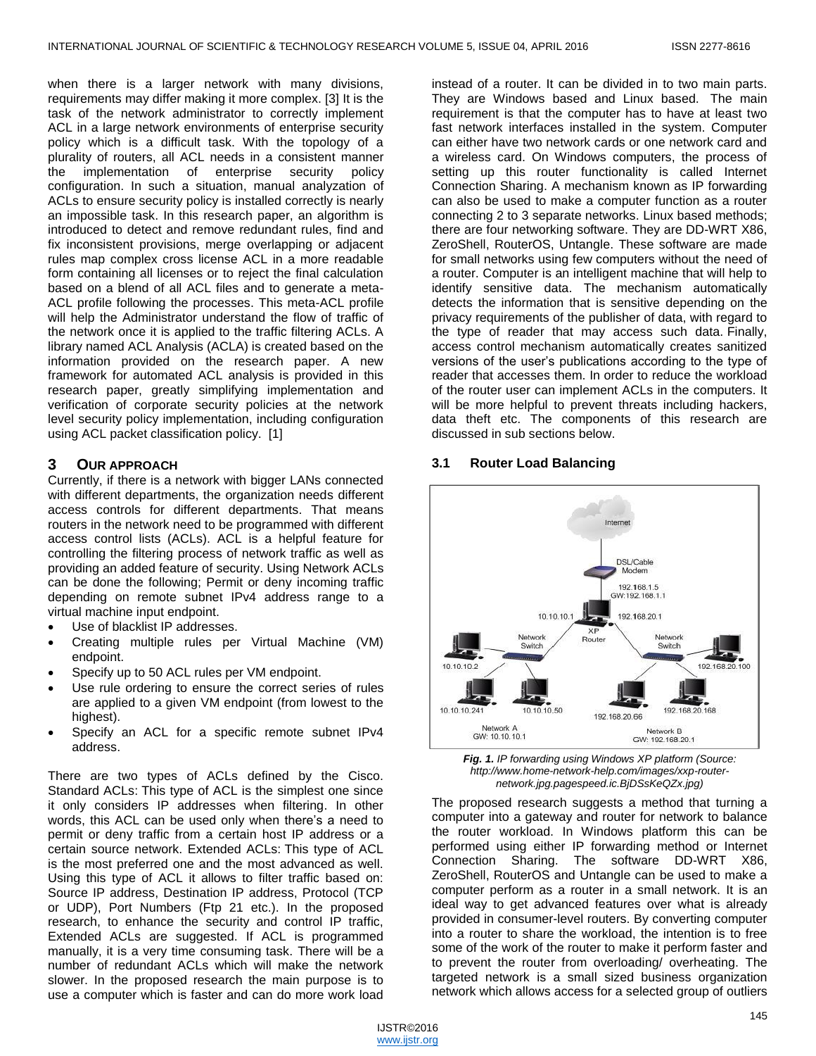when there is a larger network with many divisions, requirements may differ making it more complex. [3] It is the task of the network administrator to correctly implement ACL in a large network environments of enterprise security policy which is a difficult task. With the topology of a plurality of routers, all ACL needs in a consistent manner the implementation of enterprise security policy configuration. In such a situation, manual analyzation of ACLs to ensure security policy is installed correctly is nearly an impossible task. In this research paper, an algorithm is introduced to detect and remove redundant rules, find and fix inconsistent provisions, merge overlapping or adjacent rules map complex cross license ACL in a more readable form containing all licenses or to reject the final calculation based on a blend of all ACL files and to generate a meta-ACL profile following the processes. This meta-ACL profile will help the Administrator understand the flow of traffic of the network once it is applied to the traffic filtering ACLs. A library named ACL Analysis (ACLA) is created based on the information provided on the research paper. A new framework for automated ACL analysis is provided in this research paper, greatly simplifying implementation and verification of corporate security policies at the network level security policy implementation, including configuration using ACL packet classification policy. [1]

## **3 OUR APPROACH**

Currently, if there is a network with bigger LANs connected with different departments, the organization needs different access controls for different departments. That means routers in the network need to be programmed with different access control lists (ACLs). ACL is a helpful feature for controlling the filtering process of network traffic as well as providing an added feature of security. Using Network ACLs can be done the following; Permit or deny incoming traffic depending on remote subnet IPv4 address range to a virtual machine input endpoint.

- Use of blacklist IP addresses.
- Creating multiple rules per Virtual Machine (VM) endpoint.
- Specify up to 50 ACL rules per VM endpoint.
- Use rule ordering to ensure the correct series of rules are applied to a given VM endpoint (from lowest to the highest).
- Specify an ACL for a specific remote subnet IPv4 address.

There are two types of ACLs defined by the Cisco. Standard ACLs: This type of ACL is the simplest one since it only considers IP addresses when filtering. In other words, this ACL can be used only when there's a need to permit or deny traffic from a certain host IP address or a certain source network. Extended ACLs: This type of ACL is the most preferred one and the most advanced as well. Using this type of ACL it allows to filter traffic based on: Source IP address, Destination IP address, Protocol (TCP or UDP), Port Numbers (Ftp 21 etc.). In the proposed research, to enhance the security and control IP traffic, Extended ACLs are suggested. If ACL is programmed manually, it is a very time consuming task. There will be a number of redundant ACLs which will make the network slower. In the proposed research the main purpose is to use a computer which is faster and can do more work load

instead of a router. It can be divided in to two main parts. They are Windows based and Linux based. The main requirement is that the computer has to have at least two fast network interfaces installed in the system. Computer can either have two network cards or one network card and a wireless card. On Windows computers, the process of setting up this router functionality is called Internet Connection Sharing. A mechanism known as IP forwarding can also be used to make a computer function as a router connecting 2 to 3 separate networks. Linux based methods; there are four networking software. They are DD-WRT X86, ZeroShell, RouterOS, Untangle. These software are made for small networks using few computers without the need of a router. Computer is an intelligent machine that will help to identify sensitive data. The mechanism automatically detects the information that is sensitive depending on the privacy requirements of the publisher of data, with regard to the type of reader that may access such data. Finally, access control mechanism automatically creates sanitized versions of the user's publications according to the type of reader that accesses them. In order to reduce the workload of the router user can implement ACLs in the computers. It will be more helpful to prevent threats including hackers, data theft etc. The components of this research are discussed in sub sections below.

#### **3.1 Router Load Balancing**



*Fig. 1. IP forwarding using Windows XP platform (Source: http://www.home-network-help.com/images/xxp-routernetwork.jpg.pagespeed.ic.BjDSsKeQZx.jpg)*

The proposed research suggests a method that turning a computer into a gateway and router for network to balance the router workload. In Windows platform this can be performed using either IP forwarding method or Internet Connection Sharing. The software DD-WRT X86, ZeroShell, RouterOS and Untangle can be used to make a computer perform as a router in a small network. It is an ideal way to get advanced features over what is already provided in consumer-level routers. By converting computer into a router to share the workload, the intention is to free some of the work of the router to make it perform faster and to prevent the router from overloading/ overheating. The targeted network is a small sized business organization network which allows access for a selected group of outliers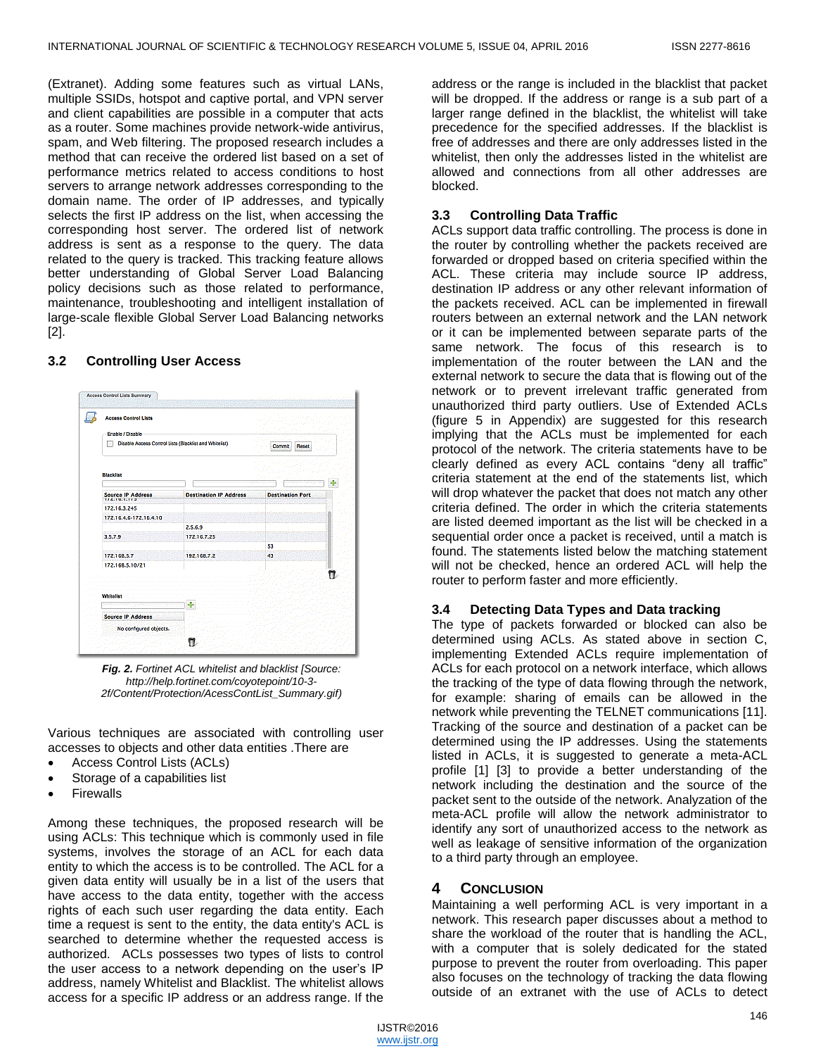(Extranet). Adding some features such as virtual LANs, multiple SSIDs, hotspot and captive portal, and VPN server and client capabilities are possible in a computer that acts as a router. Some machines provide network-wide antivirus, spam, and Web filtering. The proposed research includes a method that can receive the ordered list based on a set of performance metrics related to access conditions to host servers to arrange network addresses corresponding to the domain name. The order of IP addresses, and typically selects the first IP address on the list, when accessing the corresponding host server. The ordered list of network address is sent as a response to the query. The data related to the query is tracked. This tracking feature allows better understanding of Global Server Load Balancing policy decisions such as those related to performance, maintenance, troubleshooting and intelligent installation of large-scale flexible Global Server Load Balancing networks [2].

#### Access Control Lists Summary Access Control Lists .<br>nable / Disable Disable Access Control Lists (Blacklist and Whitelist) Commit Reset **Blacklist** ń vé Source IP Address **Destination IP Address Destination Port** 172.16.3.245 172.16.4.6-172.16.4.10  $2.5.6.9$ 3.5.7.9 172.16.7.25 53 172.168.5.7 192.168.7.2 43 172.168.5.10/21 ū **Whitelist** Source IP Address No configured objects ū

#### **3.2 Controlling User Access**

*Fig. 2. Fortinet ACL whitelist and blacklist [Source: http://help.fortinet.com/coyotepoint/10-3- 2f/Content/Protection/AcessContList\_Summary.gif)*

Various techniques are associated with controlling user accesses to objects and other data entities .There are

- Access Control Lists (ACLs)
- Storage of a capabilities list
- Firewalls

Among these techniques, the proposed research will be using ACLs: This technique which is commonly used in file systems, involves the storage of an ACL for each data entity to which the access is to be controlled. The ACL for a given data entity will usually be in a list of the users that have access to the data entity, together with the access rights of each such user regarding the data entity. Each time a request is sent to the entity, the data entity's ACL is searched to determine whether the requested access is authorized. ACLs possesses two types of lists to control the user access to a network depending on the user's IP address, namely Whitelist and Blacklist. The whitelist allows access for a specific IP address or an address range. If the address or the range is included in the blacklist that packet will be dropped. If the address or range is a sub part of a larger range defined in the blacklist, the whitelist will take precedence for the specified addresses. If the blacklist is free of addresses and there are only addresses listed in the whitelist, then only the addresses listed in the whitelist are allowed and connections from all other addresses are blocked.

## **3.3 Controlling Data Traffic**

ACLs support data traffic controlling. The process is done in the router by controlling whether the packets received are forwarded or dropped based on criteria specified within the ACL. These criteria may include source IP address, destination IP address or any other relevant information of the packets received. ACL can be implemented in firewall routers between an external network and the LAN network or it can be implemented between separate parts of the same network. The focus of this research is to implementation of the router between the LAN and the external network to secure the data that is flowing out of the network or to prevent irrelevant traffic generated from unauthorized third party outliers. Use of Extended ACLs (figure 5 in Appendix) are suggested for this research implying that the ACLs must be implemented for each protocol of the network. The criteria statements have to be clearly defined as every ACL contains "deny all traffic" criteria statement at the end of the statements list, which will drop whatever the packet that does not match any other criteria defined. The order in which the criteria statements are listed deemed important as the list will be checked in a sequential order once a packet is received, until a match is found. The statements listed below the matching statement will not be checked, hence an ordered ACL will help the router to perform faster and more efficiently.

#### **3.4 Detecting Data Types and Data tracking**

The type of packets forwarded or blocked can also be determined using ACLs. As stated above in section C, implementing Extended ACLs require implementation of ACLs for each protocol on a network interface, which allows the tracking of the type of data flowing through the network, for example: sharing of emails can be allowed in the network while preventing the TELNET communications [11]. Tracking of the source and destination of a packet can be determined using the IP addresses. Using the statements listed in ACLs, it is suggested to generate a meta-ACL profile [1] [3] to provide a better understanding of the network including the destination and the source of the packet sent to the outside of the network. Analyzation of the meta-ACL profile will allow the network administrator to identify any sort of unauthorized access to the network as well as leakage of sensitive information of the organization to a third party through an employee.

#### **4 CONCLUSION**

Maintaining a well performing ACL is very important in a network. This research paper discusses about a method to share the workload of the router that is handling the ACL, with a computer that is solely dedicated for the stated purpose to prevent the router from overloading. This paper also focuses on the technology of tracking the data flowing outside of an extranet with the use of ACLs to detect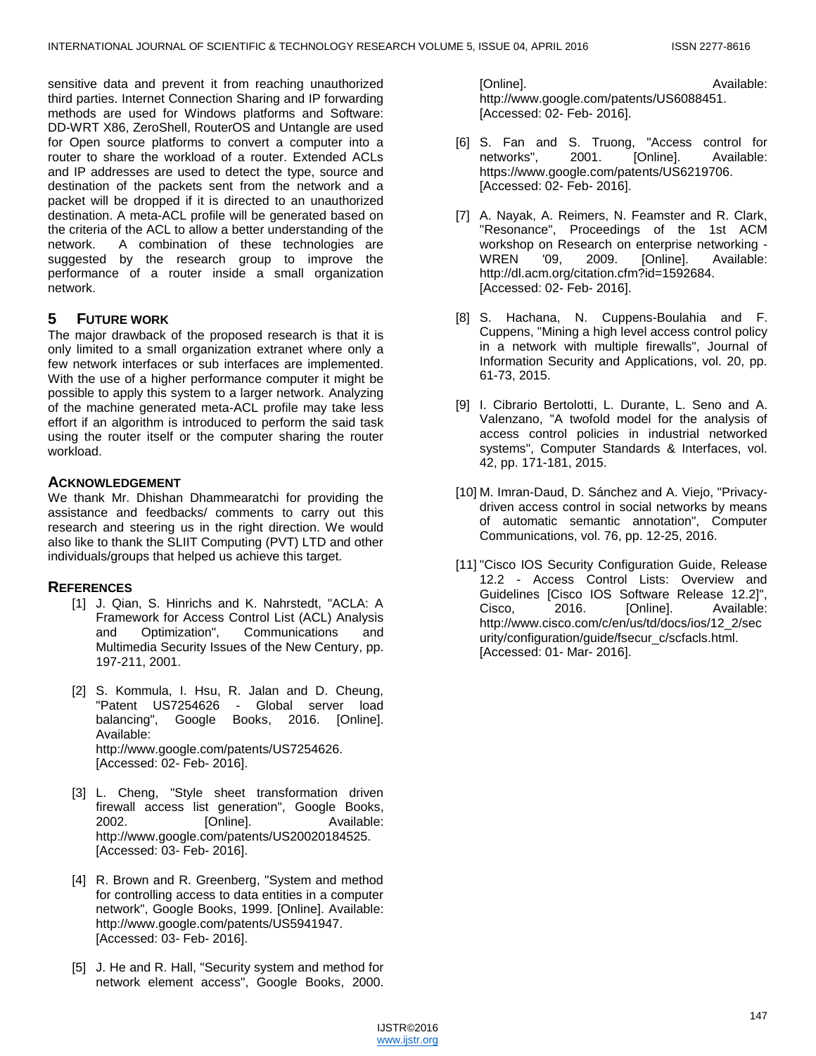sensitive data and prevent it from reaching unauthorized third parties. Internet Connection Sharing and IP forwarding methods are used for Windows platforms and Software: DD-WRT X86, ZeroShell, RouterOS and Untangle are used for Open source platforms to convert a computer into a router to share the workload of a router. Extended ACLs and IP addresses are used to detect the type, source and destination of the packets sent from the network and a packet will be dropped if it is directed to an unauthorized destination. A meta-ACL profile will be generated based on the criteria of the ACL to allow a better understanding of the network. A combination of these technologies are suggested by the research group to improve the performance of a router inside a small organization network.

# **5 FUTURE WORK**

The major drawback of the proposed research is that it is only limited to a small organization extranet where only a few network interfaces or sub interfaces are implemented. With the use of a higher performance computer it might be possible to apply this system to a larger network. Analyzing of the machine generated meta-ACL profile may take less effort if an algorithm is introduced to perform the said task using the router itself or the computer sharing the router workload.

## **ACKNOWLEDGEMENT**

We thank Mr. Dhishan Dhammearatchi for providing the assistance and feedbacks/ comments to carry out this research and steering us in the right direction. We would also like to thank the SLIIT Computing (PVT) LTD and other individuals/groups that helped us achieve this target.

# **REFERENCES**

- [1] J. Qian, S. Hinrichs and K. Nahrstedt, "ACLA: A Framework for Access Control List (ACL) Analysis and Optimization", Communications and Multimedia Security Issues of the New Century, pp. 197-211, 2001.
- [2] S. Kommula, I. Hsu, R. Jalan and D. Cheung, "Patent US7254626 - Global server load balancing", Google Books, 2016. [Online]. Available: http://www.google.com/patents/US7254626. [Accessed: 02- Feb- 2016].
- [3] L. Cheng, "Style sheet transformation driven firewall access list generation", Google Books, [Online]. Available: http://www.google.com/patents/US20020184525. [Accessed: 03- Feb- 2016].
- [4] R. Brown and R. Greenberg, "System and method for controlling access to data entities in a computer network", Google Books, 1999. [Online]. Available: http://www.google.com/patents/US5941947. [Accessed: 03- Feb- 2016].
- [5] J. He and R. Hall, "Security system and method for network element access", Google Books, 2000.

[Online]. Available: http://www.google.com/patents/US6088451. [Accessed: 02- Feb- 2016].

- [6] S. Fan and S. Truong, "Access control for networks", 2001. [Online]. Available: https://www.google.com/patents/US6219706. [Accessed: 02- Feb- 2016].
- [7] A. Nayak, A. Reimers, N. Feamster and R. Clark, "Resonance", Proceedings of the 1st ACM workshop on Research on enterprise networking - WREN '09, 2009. [Online]. Available: http://dl.acm.org/citation.cfm?id=1592684. [Accessed: 02- Feb- 2016].
- [8] S. Hachana, N. Cuppens-Boulahia and F. Cuppens, "Mining a high level access control policy in a network with multiple firewalls", Journal of Information Security and Applications, vol. 20, pp. 61-73, 2015.
- [9] I. Cibrario Bertolotti, L. Durante, L. Seno and A. Valenzano, "A twofold model for the analysis of access control policies in industrial networked systems", Computer Standards & Interfaces, vol. 42, pp. 171-181, 2015.
- [10] M. Imran-Daud, D. Sánchez and A. Viejo, "Privacydriven access control in social networks by means of automatic semantic annotation", Computer Communications, vol. 76, pp. 12-25, 2016.
- [11] "Cisco IOS Security Configuration Guide, Release 12.2 - Access Control Lists: Overview and Guidelines [Cisco IOS Software Release 12.2]", Cisco, 2016. [Online]. Available: http://www.cisco.com/c/en/us/td/docs/ios/12\_2/sec urity/configuration/guide/fsecur\_c/scfacls.html. [Accessed: 01- Mar- 2016].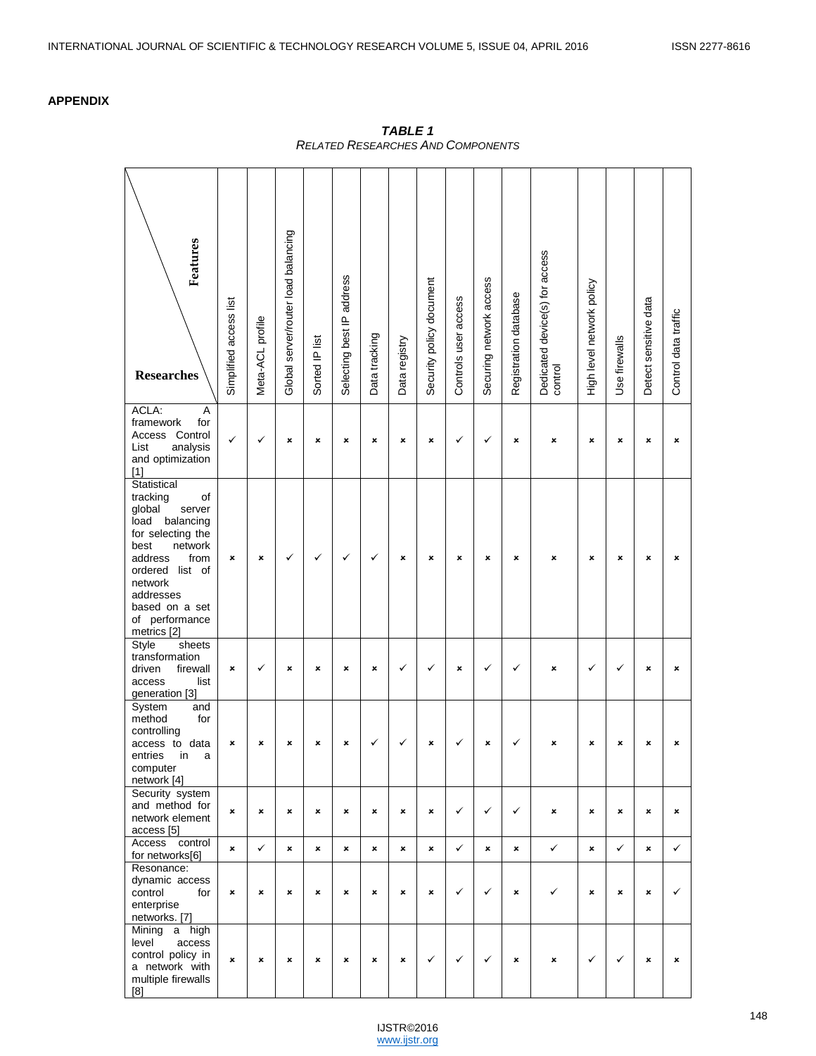# **APPENDIX**

| Features<br><b>Researches</b>                                                                                                                                                                                                   | Simplified access list    | Meta-ACL profile | Global server/router load balancing | Sorted IP list | Selecting best IP address | Data tracking | Data registry | Security policy document  | Controls user access | Securing network access | Registration database | Dedicated device(s) for access<br>control | High level network policy | Use firewalls | Detect sensitive data | Control data traffic |
|---------------------------------------------------------------------------------------------------------------------------------------------------------------------------------------------------------------------------------|---------------------------|------------------|-------------------------------------|----------------|---------------------------|---------------|---------------|---------------------------|----------------------|-------------------------|-----------------------|-------------------------------------------|---------------------------|---------------|-----------------------|----------------------|
| ACLA:<br>Α<br>framework<br>for<br>Access Control<br>analysis<br>List<br>and optimization<br>$[1]$                                                                                                                               | ✓                         | ✓                | ×                                   | ×              | ×                         | ×             | ×             | ×                         | ✓                    | ✓                       | ×                     | ×                                         | ×                         | ×             | ×                     | ×                    |
| Statistical<br>tracking<br>οf<br>global<br>server<br>load<br>balancing<br>for selecting the<br>best<br>network<br>address<br>from<br>ordered list of<br>network<br>addresses<br>based on a set<br>of performance<br>metrics [2] | ×                         | ×                | ✓                                   | ✓              | ✓                         | ✓             | ×             | ×                         | ×                    | ×                       | ×                     | ×                                         | ×                         | ×             | ×                     | ×                    |
| sheets<br>Style<br>transformation<br>driven<br>firewall<br>access<br>list<br>generation [3]                                                                                                                                     | ×                         | ✓                | ×                                   | ×              | ×                         | ×             | ✓             | ✓                         | ×                    | ✓                       | ✓                     | ×                                         | ✓                         | ✓             | ×                     | ×                    |
| System<br>and<br>method<br>for<br>controlling<br>access to data<br>entries in<br>a<br>computer<br>network [4]                                                                                                                   | ×                         | ×                | ×                                   | ×              | ×                         | ✓             | ✓             | $\boldsymbol{\mathsf{x}}$ | ✓                    | ×                       | ✓                     | ×                                         | ×                         | ×             | ×                     | ×                    |
| Security system<br>and method for<br>network element<br>access [5]                                                                                                                                                              | ×                         | ×                | ×                                   | ×              | ×                         | ×             | ×             | $\boldsymbol{\mathsf{x}}$ | $\checkmark$         | ✓                       | ✓                     | ×                                         | ×                         | ×             | ×                     | ×                    |
| Access<br>control                                                                                                                                                                                                               | $\boldsymbol{\mathsf{x}}$ | $\checkmark$     | ×                                   | ×              | ×                         | ×             | ×             | ×                         | ✓                    | $\mathbf x$             | ×                     | $\checkmark$                              | ×                         | ✓             | ×                     | $\checkmark$         |
| for networks[6]<br>Resonance:<br>dynamic access<br>for<br>control<br>enterprise<br>networks. [7]                                                                                                                                | ×                         | ×                | ×                                   | ×              | ×                         | ×             | ×             | ×                         | $\checkmark$         | ✓                       | ×                     | ✓                                         | ×                         | ×             | ×                     | $\checkmark$         |
| Mining a high<br>level<br>access<br>control policy in<br>a network with<br>multiple firewalls<br>[8]                                                                                                                            | ×                         | ×                | ×                                   | ×              | ×                         | ×             | ×             | $\checkmark$              | $\checkmark$         | ✓                       | ×                     | ×                                         | $\checkmark$              | $\checkmark$  | $\pmb{\times}$        | $\pmb{\times}$       |

*TABLE 1 RELATED RESEARCHES AND COMPONENTS*

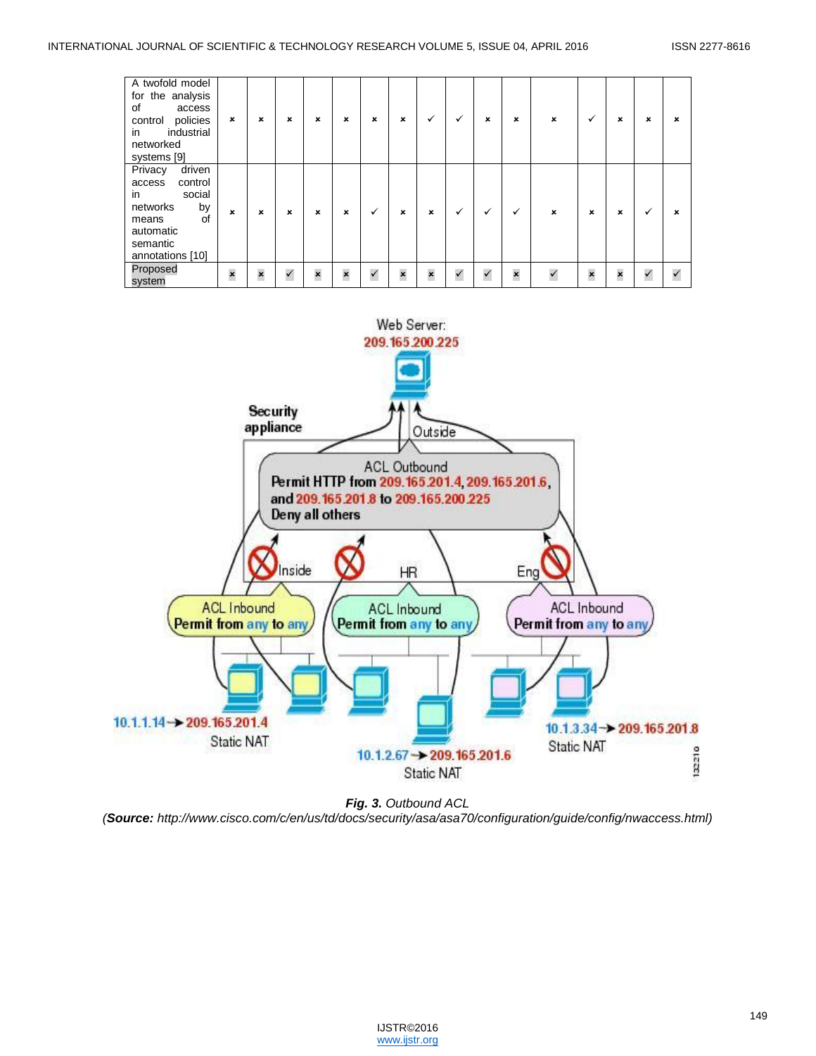| A twofold model<br>for the analysis<br>0f<br>access<br>policies<br>control<br>in<br>industrial<br>networked<br>systems [9]           | $\boldsymbol{\mathsf{x}}$ | ×           | ×            | ×                       | $\boldsymbol{\mathsf{x}}$ | × | ×                         | ✓                       | ✓            | ×            | $\pmb{\times}$ | × | ✓                       | ×            | × | ×                         |
|--------------------------------------------------------------------------------------------------------------------------------------|---------------------------|-------------|--------------|-------------------------|---------------------------|---|---------------------------|-------------------------|--------------|--------------|----------------|---|-------------------------|--------------|---|---------------------------|
| driven<br>Privacy<br>control<br>access<br>social<br>in<br>networks<br>by<br>of<br>means<br>automatic<br>semantic<br>annotations [10] | $\mathbf{x}$              | $\mathbf x$ | ×            | ×                       | ×                         | ✓ | $\mathbf x$               | ×                       | ✓            |              | ✓              | × | ×                       | ×            |   | $\boldsymbol{\mathsf{x}}$ |
| Proposed<br>system                                                                                                                   | $\boldsymbol{\mathsf{x}}$ | ×           | $\checkmark$ | $\overline{\mathbf{x}}$ | $\mathbf{x}$              |   | $\boldsymbol{\mathsf{x}}$ | $\overline{\mathbf{x}}$ | $\checkmark$ | $\checkmark$ | $\mathbf{x}$   |   | $\overline{\mathbf{x}}$ | $\mathbf{x}$ |   | $\checkmark$              |



*Fig. 3. Outbound ACL (Source: http://www.cisco.com/c/en/us/td/docs/security/asa/asa70/configuration/guide/config/nwaccess.html)*